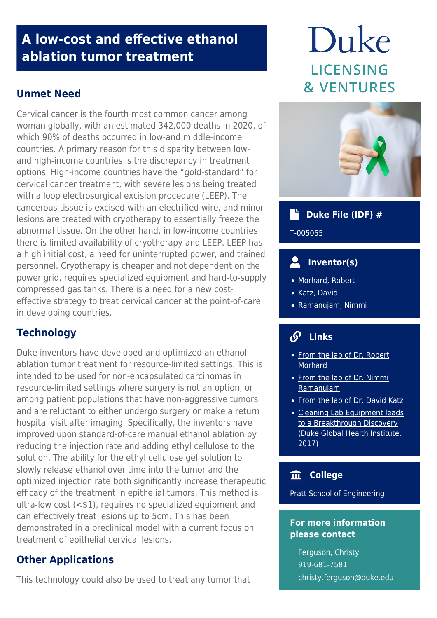## **A low-cost and effective ethanol ablation tumor treatment**

### **Unmet Need**

Cervical cancer is the fourth most common cancer among woman globally, with an estimated 342,000 deaths in 2020, of which 90% of deaths occurred in low-and middle-income countries. A primary reason for this disparity between lowand high-income countries is the discrepancy in treatment options. High-income countries have the "gold-standard" for cervical cancer treatment, with severe lesions being treated with a loop electrosurgical excision procedure (LEEP). The cancerous tissue is excised with an electrified wire, and minor lesions are treated with cryotherapy to essentially freeze the abnormal tissue. On the other hand, in low-income countries there is limited availability of cryotherapy and LEEP. LEEP has a high initial cost, a need for uninterrupted power, and trained personnel. Cryotherapy is cheaper and not dependent on the power grid, requires specialized equipment and hard-to-supply compressed gas tanks. There is a need for a new costeffective strategy to treat cervical cancer at the point-of-care in developing countries.

## **Technology**

Duke inventors have developed and optimized an ethanol ablation tumor treatment for resource-limited settings. This is intended to be used for non-encapsulated carcinomas in resource-limited settings where surgery is not an option, or among patient populations that have non-aggressive tumors and are reluctant to either undergo surgery or make a return hospital visit after imaging. Specifically, the inventors have improved upon standard-of-care manual ethanol ablation by reducing the injection rate and adding ethyl cellulose to the solution. The ability for the ethyl cellulose gel solution to slowly release ethanol over time into the tumor and the optimized injection rate both significantly increase therapeutic efficacy of the treatment in epithelial tumors. This method is ultra-low cost (<\$1), requires no specialized equipment and can effectively treat lesions up to 5cm. This has been demonstrated in a preclinical model with a current focus on treatment of epithelial cervical lesions.

#### **Other Applications**

This technology could also be used to treat any tumor that

# Duke **LICENSING & VENTURES**



### **Duke File (IDF) #**

T-005055

## **Inventor(s)**

- Morhard, Robert
- Katz, David
- Ramanujam, Nimmi

#### **Links**

- [From the lab of Dr. Robert](https://www.linkedin.com/in/robert-morhard-828b5714b/) **[Morhard](https://www.linkedin.com/in/robert-morhard-828b5714b/)**
- [From the lab of Dr. Nimmi](https://scholars.duke.edu/person/nimmi.ramanujam) [Ramanujam](https://scholars.duke.edu/person/nimmi.ramanujam)
- [From the lab of Dr. David Katz](https://scholars.duke.edu/person/dkatz)
- [Cleaning Lab Equipment leads](https://globalhealth.duke.edu/news/cleaning-lab-equipment-leads-breakthrough-discovery) [to a Breakthrough Discovery](https://globalhealth.duke.edu/news/cleaning-lab-equipment-leads-breakthrough-discovery) [\(Duke Global Health Institute,](https://globalhealth.duke.edu/news/cleaning-lab-equipment-leads-breakthrough-discovery) [2017\)](https://globalhealth.duke.edu/news/cleaning-lab-equipment-leads-breakthrough-discovery)

#### **College**

Pratt School of Engineering

#### **For more information please contact**

Ferguson, Christy 919-681-7581 [christy.ferguson@duke.edu](mailto:christy.ferguson@duke.edu)